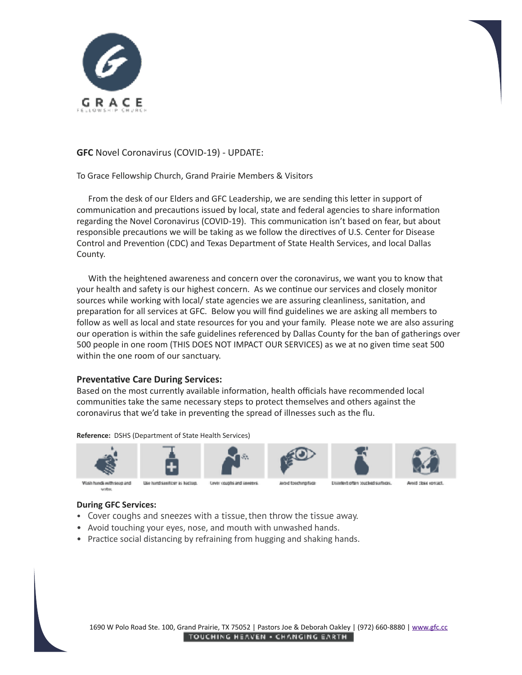

**GFC** Novel Coronavirus (COVID-19) - UPDATE:

To Grace Fellowship Church, Grand Prairie Members & Visitors

From the desk of our Elders and GFC Leadership, we are sending this letter in support of communication and precautions issued by local, state and federal agencies to share information regarding the Novel Coronavirus (COVID-19). This communication isn't based on fear, but about responsible precautions we will be taking as we follow the directives of U.S. Center for Disease Control and Prevention (CDC) and Texas Department of State Health Services, and local Dallas County. 

With the heightened awareness and concern over the coronavirus, we want you to know that your health and safety is our highest concern. As we continue our services and closely monitor sources while working with local/ state agencies we are assuring cleanliness, sanitation, and preparation for all services at GFC. Below you will find guidelines we are asking all members to follow as well as local and state resources for you and your family. Please note we are also assuring our operation is within the safe guidelines referenced by Dallas County for the ban of gatherings over 500 people in one room (THIS DOES NOT IMPACT OUR SERVICES) as we at no given time seat 500 within the one room of our sanctuary.

## **Preventative Care During Services:**

Based on the most currently available information, health officials have recommended local communities take the same necessary steps to protect themselves and others against the coronavirus that we'd take in preventing the spread of illnesses such as the flu.

#### **Reference:** DSHS (Department of State Health Services)



#### **During GFC Services:**

- Cover coughs and sneezes with a tissue, then throw the tissue away.
- Avoid touching your eyes, nose, and mouth with unwashed hands.
- Practice social distancing by refraining from hugging and shaking hands.